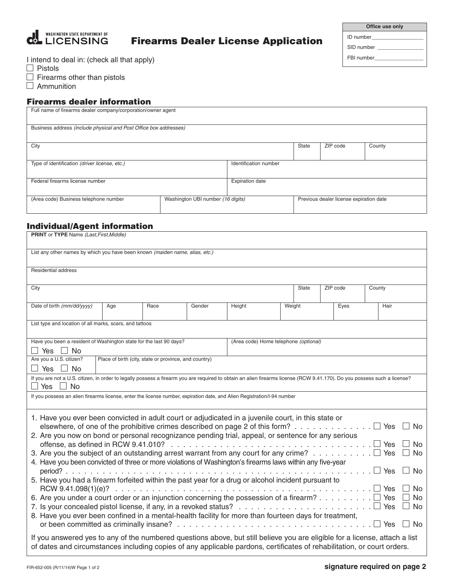

# Firearms Dealer License Application

| Office use only |  |
|-----------------|--|
| ID number       |  |
| SID number      |  |
| FBI number      |  |
|                 |  |

I intend to deal in: (check all that apply)

 $\Box$  Pistols

 $\Box$  Firearms other than pistols

 $\Box$  Ammunition

## Firearms dealer information

| Full name of firearms dealer company/corporation/owner agent               |                        |  |  |                                         |        |  |  |
|----------------------------------------------------------------------------|------------------------|--|--|-----------------------------------------|--------|--|--|
| Business address (include physical and Post Office box addresses)          |                        |  |  |                                         |        |  |  |
| City                                                                       |                        |  |  | ZIP code                                | County |  |  |
| Type of identification (driver license, etc.)                              | Identification number  |  |  |                                         |        |  |  |
| Federal firearms license number                                            | <b>Expiration date</b> |  |  |                                         |        |  |  |
| (Area code) Business telephone number<br>Washington UBI number (16 digits) |                        |  |  | Previous dealer license expiration date |        |  |  |

## Individual/Agent information

| <b>PRINT</b> or TYPE Name (Last, First, Middle)                                                                                                                                                                                                                                                                                                                                                        |     |                                                       |        |                                       |  |                |  |                    |      |  |  |  |
|--------------------------------------------------------------------------------------------------------------------------------------------------------------------------------------------------------------------------------------------------------------------------------------------------------------------------------------------------------------------------------------------------------|-----|-------------------------------------------------------|--------|---------------------------------------|--|----------------|--|--------------------|------|--|--|--|
| List any other names by which you have been known (maiden name, alias, etc.)                                                                                                                                                                                                                                                                                                                           |     |                                                       |        |                                       |  |                |  |                    |      |  |  |  |
| Residential address                                                                                                                                                                                                                                                                                                                                                                                    |     |                                                       |        |                                       |  |                |  |                    |      |  |  |  |
| City                                                                                                                                                                                                                                                                                                                                                                                                   |     |                                                       |        |                                       |  | <b>State</b>   |  | ZIP code<br>County |      |  |  |  |
| Date of birth (mm/dd/yyyy)                                                                                                                                                                                                                                                                                                                                                                             | Age | Race                                                  | Gender | Height                                |  | Weight<br>Eyes |  |                    | Hair |  |  |  |
| List type and location of all marks, scars, and tattoos                                                                                                                                                                                                                                                                                                                                                |     |                                                       |        |                                       |  |                |  |                    |      |  |  |  |
| Have you been a resident of Washington state for the last 90 days?<br>$\Box$ Yes<br>$\Box$ No                                                                                                                                                                                                                                                                                                          |     |                                                       |        | (Area code) Home telephone (optional) |  |                |  |                    |      |  |  |  |
| Are you a U.S. citizen?<br>Yes<br>$\Box$ No                                                                                                                                                                                                                                                                                                                                                            |     | Place of birth (city, state or province, and country) |        |                                       |  |                |  |                    |      |  |  |  |
| If you are not a U.S. citizen, in order to legally possess a firearm you are required to obtain an alien firearms license (RCW 9.41.170). Do you possess such a license?<br>Yes<br>N <sub>o</sub>                                                                                                                                                                                                      |     |                                                       |        |                                       |  |                |  |                    |      |  |  |  |
| If you possess an alien firearms license, enter the license number, expiration date, and Alien Registration/I-94 number                                                                                                                                                                                                                                                                                |     |                                                       |        |                                       |  |                |  |                    |      |  |  |  |
| 1. Have you ever been convicted in adult court or adjudicated in a juvenile court, in this state or<br>elsewhere, of one of the prohibitive crimes described on page 2 of this form? $\Box$<br>Yes<br>No<br>2. Are you now on bond or personal recognizance pending trial, appeal, or sentence for any serious                                                                                         |     |                                                       |        |                                       |  |                |  |                    |      |  |  |  |
| Yes<br>No.<br>3. Are you the subject of an outstanding arrest warrant from any court for any crime? $\ldots \ldots \ldots \square$<br>Yes<br><b>No</b><br>4. Have you been convicted of three or more violations of Washington's firearms laws within any five-year                                                                                                                                    |     |                                                       |        |                                       |  |                |  |                    |      |  |  |  |
| $period?$<br>No.<br><b>Yes</b><br>5. Have you had a firearm forfeited within the past year for a drug or alcohol incident pursuant to                                                                                                                                                                                                                                                                  |     |                                                       |        |                                       |  |                |  |                    |      |  |  |  |
| No<br>Yes<br>6. Are you under a court order or an injunction concerning the possession of a firearm?<br>Yes<br>No<br>7. Is your concealed pistol license, if any, in a revoked status? $\ldots \ldots \ldots \ldots \ldots \ldots \ldots \ldots$<br>Yes<br><b>No</b><br>8. Have you ever been confined in a mental-health facility for more than fourteen days for treatment,<br>N <sub>0</sub><br>Yes |     |                                                       |        |                                       |  |                |  |                    |      |  |  |  |
| If you answered yes to any of the numbered questions above, but still believe you are eligible for a license, attach a list<br>of dates and circumstances including copies of any applicable pardons, certificates of rehabilitation, or court orders.                                                                                                                                                 |     |                                                       |        |                                       |  |                |  |                    |      |  |  |  |